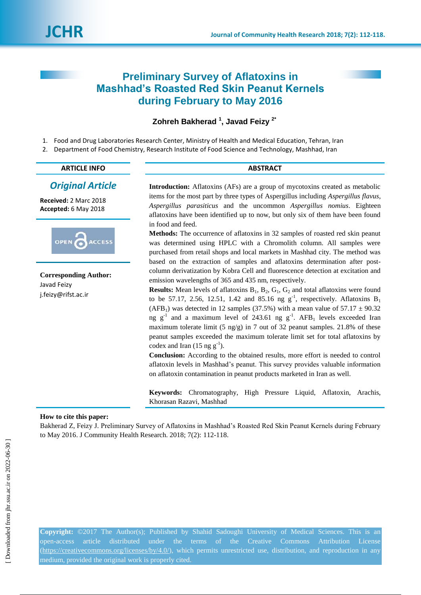# **Preliminary Survey of Aflatoxins in Mashhad's Roasted Red Skin Peanut Kernels during February to May 2016**

# **Zohreh Bakherad <sup>1</sup> , Javad Feizy 2\***

- 1. Food and Drug Laboratories Research Center, Ministry of Health and Medical Education, Tehran, Iran
- 2. Department of Food Chemistry, Research Institute of Food Science and Technology, Mashhad, Iran

| <b>ARTICLE INFO</b>     | <b>ABSTRACT</b>                                                                      |  |  |  |
|-------------------------|--------------------------------------------------------------------------------------|--|--|--|
| <b>Original Article</b> | <b>Introduction:</b> Aflatoxins (AFs) are a group of mycotoxins created as metabolic |  |  |  |
| eceived: 2 Marc 2018    | items for the most part by three types of Aspergillus including Aspergillus flavus,  |  |  |  |

**Received:** 2 Marc 2018 **Accepted:** 6 May 2018



**Corresponding Author:** Javad Feizy j.feizy@rifst.ac.ir

*Aspergillus parasiticus* and the uncommon *Aspergillus nomius*. Eighteen aflatoxins have been identified up to now, but only six of them have been found in food and feed.

**Methods:** The occurrence of aflatoxins in 32 samples of roasted red skin peanut was determined using HPLC with a Chromolith column. All samples were purchased from retail shops and local markets in Mashhad city. The method was based on the extraction of samples and aflatoxins determination after postcolumn derivatization by Kobra Cell and fluorescence detection at excitation and emission wavelengths of 365 and 435 nm, respectively.

**Results:** Mean levels of aflatoxins  $B_1$ ,  $B_2$ ,  $G_1$ ,  $G_2$  and total aflatoxins were found to be 57.17, 2.56, 12.51, 1.42 and 85.16 ng  $g^{-1}$ , respectively. Aflatoxins B<sub>1</sub> (AFB<sub>1</sub>) was detected in 12 samples (37.5%) with a mean value of  $57.17 \pm 90.32$ ng  $g^{-1}$  and a maximum level of 243.61 ng  $g^{-1}$ . AFB<sub>1</sub> levels exceeded Iran maximum tolerate limit (5 ng/g) in 7 out of 32 peanut samples. 21.8% of these peanut samples exceeded the maximum tolerate limit set for total aflatoxins by codex and Iran  $(15 \text{ ng g}^{-1})$ .

**Conclusion:** According to the obtained results, more effort is needed to control aflatoxin levels in Mashhad's peanut. This survey provides valuable information on aflatoxin contamination in peanut products marketed in Iran as well.

**Keywords:** Chromatography, High Pressure Liquid, Aflatoxin, Arachis, Khorasan Razavi, Mashhad

# **How to cite this paper:**

Bakherad Z, Feizy J. Preliminary Survey of Aflatoxins in Mashhad's Roasted Red Skin Peanut Kernels during February to May 2016. J Community Health Research. 2018; 7(2): 112-118.

**Copyright:** ©2017 The Author(s); Published by Shahid Sadoughi University of Medical Sciences. This is an open-access article distributed under the terms of the Creative Commons Attribution License [\(https://creativecommons.org/licenses/by/4.0/\)](https://creativecommons.org/licenses/by/4.0/), which permits unrestricted use, distribution, and reproduction in any medium, provided the original work is properly cited.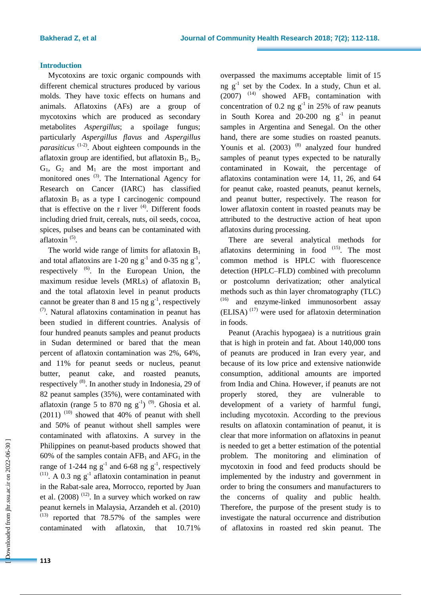## **Introduction**

Mycotoxins are toxic organic compounds with different chemical structures produced by various molds. They have toxic effects on humans and animals. Aflatoxins (AFs) are a group of mycotoxins which are produced as secondary metabolites *Aspergillus*; a spoilage fungus; particularly *Aspergillus flavus* and *Aspergillus parasiticus* (1-2) . About eighteen compounds in the aflatoxin group are identified, but aflatoxin  $B_1$ ,  $B_2$ ,  $G_1$ ,  $G_2$  and  $M_1$  are the most important and monitored ones <sup>(3)</sup>. The International Agency for Research on Cancer (IARC) has classified aflatoxin  $B_1$  as a type I carcinogenic compound that is effective on the r liver  $(4)$ . Different foods including dried fruit, cereals, nuts, oil seeds, cocoa, spices, pulses and beans can be contaminated with aflatoxin<sup>(5)</sup>.

The world wide range of limits for aflatoxin  $B_1$ and total aflatoxins are 1-20 ng  $g^{-1}$  and 0-35 ng  $g^{-1}$ , respectively <sup>(6)</sup>. In the European Union, the maximum residue levels (MRLs) of aflatoxin  $B_1$ and the total aflatoxin level in peanut products cannot be greater than 8 and 15 ng  $g^{-1}$ , respectively  $(7)$ . Natural aflatoxins contamination in peanut has been studied in different countries. Analysis of four hundred peanuts samples and peanut products in Sudan determined or bared that the mean percent of aflatoxin contamination was 2%, 64%, and 11% for peanut seeds or nucleus, peanut butter, peanut cake, and roasted peanuts, respectively <sup>(8)</sup>. In another study in Indonesia, 29 of 82 peanut samples (35%), were contaminated with aflatoxin (range 5 to 870 ng  $g^{-1}$ )<sup>(9)</sup>. Ghosia et al.  $(2011)$ <sup> $(10)$ </sup> showed that 40% of peanut with shell and 50% of peanut without shell samples were contaminated with aflatoxins. A survey in the Philippines on peanut-based products showed that 60% of the samples contain  $AFB_1$  and  $AFG_1$  in the range of 1-244 ng  $g^{-1}$  and 6-68 ng  $g^{-1}$ , respectively <sup>(11)</sup>. A 0.3 ng  $g^{-1}$  aflatoxin contamination in peanut in the Rabat-sale area, Morrocco, reported by Juan et al.  $(2008)$ <sup> $(12)$ </sup>. In a survey which worked on raw peanut kernels in Malaysia, Arzandeh et al. (2010)  $(13)$  reported that 78.57% of the samples were contaminated with aflatoxin, that 10.71%

overpassed the maximums acceptable limit of 15 ng  $g^{-1}$  set by the Codex. In a study, Chun et al.  $(2007)$ <sup>(14)</sup> showed AFB<sub>1</sub> contamination with concentration of 0.2 ng  $g^{-1}$  in 25% of raw peanuts in South Korea and  $20-200$  ng  $g^{-1}$  in peanut samples in Argentina and Senegal. On the other hand, there are some studies on roasted peanuts. Younis et al. (2003)<sup>(8)</sup> analyzed four hundred samples of peanut types expected to be naturally contaminated in Kowait, the percentage of aflatoxins contamination were 14, 11, 26, and 64 for peanut cake, roasted peanuts, peanut kernels, and peanut butter, respectively. The reason for lower aflatoxin content in roasted peanuts may be attributed to the destructive action of heat upon aflatoxins during processing.

There are several analytical methods for aflatoxins determining in food  $(15)$ . The most common method is HPLC with fluorescence detection (HPLC–FLD) combined with precolumn or postcolumn derivatization; other analytical methods such as thin layer chromatography (TLC) (16) and enzyme-linked immunosorbent assay  $(ELISA)$ <sup> $(17)$ </sup> were used for aflatoxin determination in foods.

Peanut (Arachis hypogaea) is a nutritious grain that is high in protein and fat. About 140,000 tons of peanuts are produced in Iran every year, and because of its low price and extensive nationwide consumption, additional amounts are imported from India and China. However, if peanuts are not properly stored, they are vulnerable to development of a variety of harmful fungi, including mycotoxin. According to the previous results on aflatoxin contamination of peanut, it is clear that more information on aflatoxins in peanut is needed to get a better estimation of the potential problem. The monitoring and elimination of mycotoxin in food and feed products should be implemented by the industry and government in order to bring the consumers and manufacturers to the concerns of quality and public health. Therefore, the purpose of the present study is to investigate the natural occurrence and distribution of aflatoxins in roasted red skin peanut. The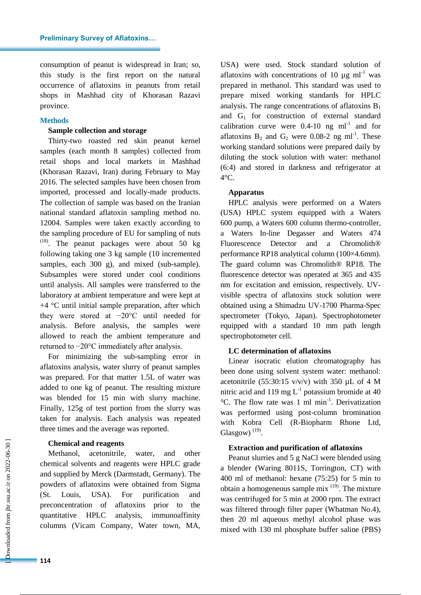consumption of peanut is widespread in Iran; so, this study is the first report on the natural occurrence of aflatoxins in peanuts from retail shops in Mashhad city of Khorasan Razavi province.

# **Methods**

#### **Sample collection and storage**

Thirty-two roasted red skin peanut kernel samples (each month 8 samples) collected from retail shops and local markets in Mashhad (Khorasan Razavi, Iran) during February to May 2016. The selected samples have been chosen from imported, processed and locally-made products. The collection of sample was based on the Iranian national standard aflatoxin sampling method no. 12004. Samples were taken exactly according to the sampling procedure of EU for sampling of nuts  $(18)$ . The peanut packages were about 50 kg following taking one 3 kg sample (10 incremented samples, each 300 g), and mixed (sub-sample). Subsamples were stored under cool conditions until analysis. All samples were transferred to the laboratory at ambient temperature and were kept at  $+4$  °C until initial sample preparation, after which they were stored at −20°C until needed for analysis. Before analysis, the samples were allowed to reach the ambient temperature and returned to −20°C immediately after analysis.

For minimizing the sub-sampling error in aflatoxins analysis, water slurry of peanut samples was prepared. For that matter 1.5L of water was added to one kg of peanut. The resulting mixture was blended for 15 min with slurry machine. Finally, 125g of test portion from the slurry was taken for analysis. Each analysis was repeated three times and the average was reported.

#### **Chemical and reagents**

Methanol, acetonitrile, water, and other chemical solvents and reagents were HPLC grade and supplied by Merck (Darmstadt, Germany). The powders of aflatoxins were obtained from Sigma (St. Louis, USA). For purification and preconcentration of aflatoxins prior to the quantitative HPLC analysis, immunoaffinity columns (Vicam Company, Water town, MA, USA) were used. Stock standard solution of aflatoxins with concentrations of 10  $\mu$ g ml<sup>-1</sup> was prepared in methanol. This standard was used to prepare mixed working standards for HPLC analysis. The range concentrations of aflatoxins  $B_1$ and  $G_1$  for construction of external standard calibration curve were  $0.4$ -10 ng ml<sup>-1</sup> and for aflatoxins  $B_2$  and  $G_2$  were 0.08-2 ng ml<sup>-1</sup>. These working standard solutions were prepared daily by diluting the stock solution with water: methanol (6:4) and stored in darkness and refrigerator at 4°C.

#### **Apparatus**

HPLC analysis were performed on a Waters (USA) HPLC system equipped with a Waters 600 pump, a Waters 600 column thermo-controller, a Waters In-line Degasser and Waters 474 Fluorescence Detector and a Chromolith® performance RP18 analytical column (100×4.6mm). The guard column was Chromolith<sup>®</sup> RP18. The fluorescence detector was operated at 365 and 435 nm for excitation and emission, respectively. UVvisible spectra of aflatoxins stock solution were obtained using a Shimadzu UV-1700 Pharma-Spec spectrometer (Tokyo, Japan). Spectrophotometer equipped with a standard 10 mm path length spectrophotometer cell.

#### **LC determination of aflatoxins**

Linear isocratic elution chromatography has been done using solvent system water: methanol: acetonitrile (55:30:15 v/v/v) with 350  $\mu$ L of 4 M nitric acid and 119 mg  $L^{-1}$  potassium bromide at 40 °C. The flow rate was 1 ml min-1 . Derivatization was performed using post-column bromination with Kobra Cell (R-Biopharm Rhone Ltd, Glasgow) $(19)$ .

#### **Extraction and purification of aflatoxins**

Peanut slurries and 5 g NaCl were blended using a blender (Waring 8011S, Torrington, CT) with 400 ml of methanol: hexane (75:25) for 5 min to obtain a homogeneous sample mix  $(19)$ . The mixture was centrifuged for 5 min at 2000 rpm. The extract was filtered through filter paper (Whatman No.4), then 20 ml aqueous methyl alcohol phase was mixed with 130 ml phosphate buffer saline (PBS)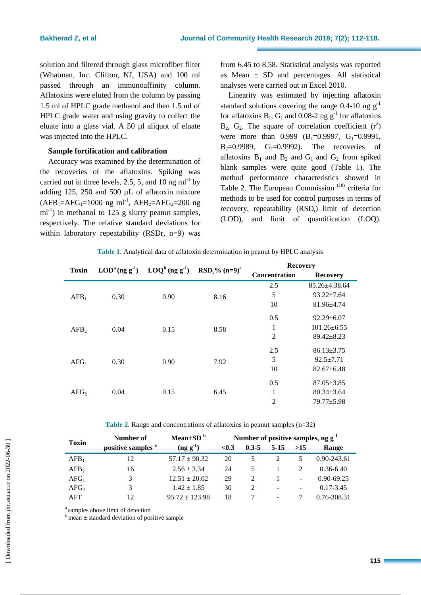solution and filtered through glass microfiber filter (Whatman, Inc. Clifton, NJ, USA) and 100 ml passed through an immunoaffinity column. Aflatoxins were eluted from the column by passing 1.5 ml of HPLC grade methanol and then 1.5 ml of HPLC grade water and using gravity to collect the eluate into a glass vial. A 50 µl aliquot of eluate was injected into the HPLC.

# **Sample fortification and calibration**

Accuracy was examined by the determination of the recoveries of the aflatoxins. Spiking was carried out in three levels, 2.5, 5, and 10 ng  $ml^{-1}$  by adding 125, 250 and 500 µL of aflatoxin mixture  $(AFB<sub>1</sub>=AFG<sub>1</sub>=1000$  ng ml<sup>-1</sup>,  $AFB<sub>2</sub>=AFG<sub>2</sub>=200$  ng ml<sup>-1</sup>) in methanol to 125 g slurry peanut samples, respectively. The relative standard deviations for within laboratory repeatability (RSDr, n=9) was

from 6.45 to 8.58. Statistical analysis was reported as Mean  $\pm$  SD and percentages. All statistical analyses were carried out in Excel 2010.

Linearity was estimated by injecting aflatoxin standard solutions covering the range 0.4-10 ng  $g^{-1}$ for aflatoxins  $B_1$ ,  $G_1$  and 0.08-2 ng  $g^{-1}$  for aflatoxins  $B_2$ ,  $G_2$ . The square of correlation coefficient  $(r^2)$ were more than 0.999  $(B_1=0.9997, G_1=0.9991,$ B<sub>2</sub>=0.9989, G<sub>2</sub>=0.9992). The recoveries of aflatoxins  $B_1$  and  $B_2$  and  $G_1$  and  $G_2$  from spiked blank samples were quite good (Table 1). The method performance characteristics showed in Table 2. The European Commission<sup>(18)</sup> criteria for methods to be used for control purposes in terms of recovery, repeatability (RSD<sub>r</sub>) limit of detection (LOD), and limit of quantification (LOQ).

| <b>Toxin</b>     | $\text{LOD}^{a}$ (ng g <sup>-1</sup> ) | $\text{LOQ}^b$ (ng g <sup>-1</sup> ) | $RSDr$ % (n=9) <sup>c</sup> | <b>Recovery</b>      |                     |  |
|------------------|----------------------------------------|--------------------------------------|-----------------------------|----------------------|---------------------|--|
|                  |                                        |                                      |                             | <b>Concentration</b> | <b>Recovery</b>     |  |
| AFB <sub>1</sub> | 0.30                                   | 0.90                                 | 8.16                        | 2.5                  | $85.26 \pm 4.38.64$ |  |
|                  |                                        |                                      |                             | 5                    | $93.22 \pm 7.64$    |  |
|                  |                                        |                                      |                             | 10                   | 81.96±4.74          |  |
| AFB <sub>2</sub> | 0.04                                   | 0.15                                 | 8.58                        | 0.5                  | $92.29 \pm 6.07$    |  |
|                  |                                        |                                      |                             | 1                    | $101.26 \pm 6.55$   |  |
|                  |                                        |                                      |                             | 2                    | $89.42 \pm 8.23$    |  |
| AFG <sub>1</sub> | 0.30                                   | 0.90                                 | 7.92                        | 2.5                  | $86.13 \pm 3.75$    |  |
|                  |                                        |                                      |                             | 5                    | $92.5 \pm 7.71$     |  |
|                  |                                        |                                      |                             | 10                   | $82.67 \pm 6.48$    |  |
| AFG <sub>2</sub> | 0.04                                   | 0.15                                 | 6.45                        | 0.5                  | $87.05 \pm 3.85$    |  |
|                  |                                        |                                      |                             | $\mathbf{1}$         | $80.34 \pm 3.64$    |  |
|                  |                                        |                                      |                             | $\overline{2}$       | $79.77 + 5.98$      |  |

**Table 2.** Range and concentrations of aflatoxins in peanut samples (n=32)

|                  | Number of                     | Mean $\pm$ SD <sup>b</sup> | Number of positive samples, $ng g-1$ |           |                          |                          |                |
|------------------|-------------------------------|----------------------------|--------------------------------------|-----------|--------------------------|--------------------------|----------------|
| <b>Toxin</b>     | positive samples <sup>a</sup> | $(\text{ng } g^{-1})$      | < 0.3                                | $0.3 - 5$ | $5-15$                   | >15                      | Range          |
| AFB <sub>1</sub> | 12                            | $57.17 \pm 90.32$          | 20                                   |           |                          |                          | 0.90-243.61    |
| AFB <sub>2</sub> | 16                            | $2.56 \pm 3.34$            | 24                                   | 5.        |                          |                          | $0.36 - 6.40$  |
| AFG <sub>1</sub> |                               | $12.51 + 20.02$            | 29                                   | 2         |                          | $\overline{\phantom{0}}$ | $0.90 - 69.25$ |
| AFG <sub>2</sub> |                               | $1.42 + 1.85$              | 30                                   | 2         | $\overline{\phantom{a}}$ | $\overline{\phantom{a}}$ | $0.17 - 3.45$  |
| AFT              | 12                            | $95.72 \pm 123.98$         | 18                                   |           | $\overline{\phantom{a}}$ |                          | 0.76-308.31    |

<sup>a</sup> samples above limit of detection

 $\frac{1}{b}$  mean  $\pm$  standard deviation of positive sample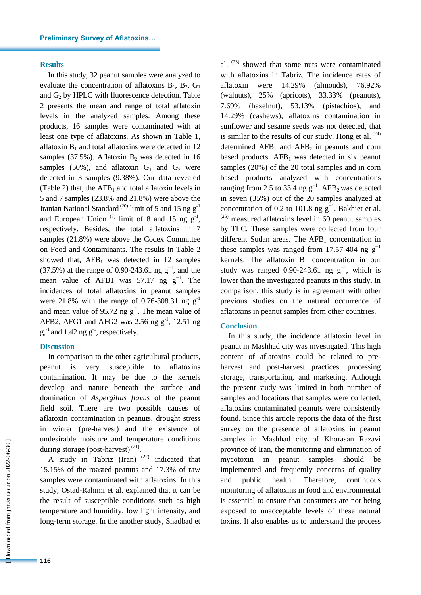#### **Results**

In this study, 32 peanut samples were analyzed to evaluate the concentration of aflatoxins  $B_1$ ,  $B_2$ ,  $G_1$ and  $G_2$  by HPLC with fluorescence detection. Table 2 presents the mean and range of total aflatoxin levels in the analyzed samples. Among these products, 16 samples were contaminated with at least one type of aflatoxins. As shown in Table 1, aflatoxin  $B_1$  and total aflatoxins were detected in 12 samples (37.5%). Aflatoxin  $B_2$  was detected in 16 samples (50%), and aflatoxin  $G_1$  and  $G_2$  were detected in 3 samples (9.38%). Our data revealed (Table 2) that, the  $AFB<sub>1</sub>$  and total aflatoxin levels in 5 and 7 samples (23.8% and 21.8%) were above the Iranian National Standard<sup>(20)</sup> limit of 5 and 15 ng  $g^{-1}$ and European Union  $(7)$  limit of 8 and 15 ng  $g^{-1}$ , respectively. Besides, the total aflatoxins in 7 samples (21.8%) were above the Codex Committee on Food and Contaminants. The results in Table 2 showed that,  $AFB_1$  was detected in 12 samples (37.5%) at the range of 0.90-243.61 ng  $g^{-1}$ , and the mean value of AFB1 was 57.17 ng  $g^{-1}$ . The incidences of total aflatoxins in peanut samples were 21.8% with the range of 0.76-308.31 ng  $g^{-1}$ and mean value of 95.72 ng  $g^{-1}$ . The mean value of AFB2, AFG1 and AFG2 was 2.56 ng  $g^{-1}$ , 12.51 ng  $g,$ <sup>-1</sup> and 1.42 ng  $g<sup>-1</sup>$ , respectively.

#### **Discussion**

In comparison to the other agricultural products, peanut is very susceptible to aflatoxins contamination. It may be due to the kernels develop and nature beneath the surface and domination of *Aspergillus flavus* of the peanut field soil. There are two possible causes of aflatoxin contamination in peanuts, drought stress in winter (pre-harvest) and the existence of undesirable moisture and temperature conditions during storage (post-harvest) $^{(21)}$ .

A study in Tabriz (Iran)  $(22)$  indicated that 15.15% of the roasted peanuts and 17.3% of raw samples were contaminated with aflatoxins. In this study, Ostad-Rahimi et al. explained that it can be the result of susceptible conditions such as high temperature and humidity, low light intensity, and long-term storage. In the another study, Shadbad et

al.<sup>(23)</sup> showed that some nuts were contaminated with aflatoxins in Tabriz. The incidence rates of aflatoxin were 14.29% (almonds), 76.92% (walnuts), 25% (apricots), 33.33% (peanuts), 7.69% (hazelnut), 53.13% (pistachios), and 14.29% (cashews); aflatoxins contamination in sunflower and sesame seeds was not detected, that is similar to the results of our study. Hong et al.  $(24)$ determined  $AFB_1$  and  $AFB_2$  in peanuts and corn based products.  $AFB<sub>1</sub>$  was detected in six peanut samples (20%) of the 20 total samples and in corn based products analyzed with concentrations ranging from 2.5 to 33.4 ng  $g^{-1}$ . AFB<sub>2</sub> was detected in seven (35%) out of the 20 samples analyzed at concentration of 0.2 to 101.8 ng  $g^{-1}$ . Bakhiet et al.  $(25)$  measured aflatoxins level in 60 peanut samples by TLC. These samples were collected from four different Sudan areas. The  $AFB<sub>1</sub>$  concentration in these samples was ranged from 17.57-404 ng  $g^{-1}$ kernels. The aflatoxin  $B_1$  concentration in our study was ranged 0.90-243.61 ng  $g^{-1}$ , which is lower than the investigated peanuts in this study. In comparison, this study is in agreement with other previous studies on the natural occurrence of aflatoxins in peanut samples from other countries.

#### **Conclusion**

In this study, the incidence aflatoxin level in peanut in Mashhad city was investigated. This high content of aflatoxins could be related to preharvest and post-harvest practices, processing storage, transportation, and marketing. Although the present study was limited in both number of samples and locations that samples were collected, aflatoxins contaminated peanuts were consistently found. Since this article reports the data of the first survey on the presence of aflatoxins in peanut samples in Mashhad city of Khorasan Razavi province of Iran, the monitoring and elimination of mycotoxin in peanut samples should be implemented and frequently concerns of quality and public health. Therefore, continuous monitoring of aflatoxins in food and environmental is essential to ensure that consumers are not being exposed to unacceptable levels of these natural toxins. It also enables us to understand the process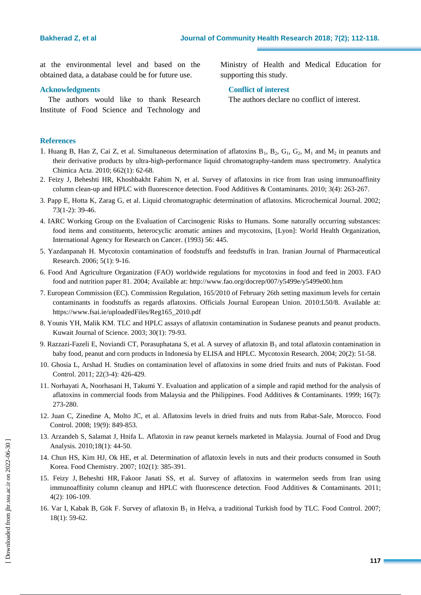at the environmental level and based on the obtained data, a database could be for future use.

#### **Acknowledgments**

The authors would like to thank Research Institute of Food Science and Technology and Ministry of Health and Medical Education for supporting this study.

#### **Conflict of interest**

The authors declare no conflict of interest.

## **References**

- 1. Huang B, Han Z, Cai Z, et al. Simultaneous determination of aflatoxins  $B_1$ ,  $B_2$ ,  $G_1$ ,  $G_2$ ,  $M_1$  and  $M_2$  in peanuts and their derivative products by ultra-high-performance liquid chromatography-tandem mass spectrometry. Analytica Chimica Acta. 2010; 662(1): 62-68.
- 2. Feizy J, Beheshti HR, Khoshbakht Fahim N, et al. Survey of aflatoxins in rice from Iran using immunoaffinity column clean-up and HPLC with fluorescence detection. Food Additives & Contaminants. 2010; 3(4): 263-267.
- 3. Papp E, Hotta K, Zarag G, et al. Liquid chromatographic determination of aflatoxins. Microchemical Journal. 2002; 73(1-2): 39-46.
- 4. IARC Working Group on the Evaluation of Carcinogenic Risks to Humans. Some naturally occurring substances: food items and constituents, heterocyclic aromatic amines and mycotoxins, [Lyon]: World Health Organization, International Agency for Research on Cancer. (1993) 56: 445.
- 5. Yazdanpanah H. Mycotoxin contamination of foodstuffs and feedstuffs in Iran. Iranian Journal of Pharmaceutical Research. 2006; 5(1): 9-16.
- 6. Food And Agriculture Organization (FAO) worldwide regulations for mycotoxins in food and feed in 2003. FAO food and nutrition paper 81. 2004; Available at: http://www.fao.org/docrep/007/y5499e/y5499e00.htm
- 7. European Commission (EC). Commission Regulation, 165/2010 of February 26th setting maximum levels for certain contaminants in foodstuffs as regards aflatoxins. Officials Journal European Union. 2010:L50/8. Available at: https://www.fsai.ie/uploadedFiles/Reg165\_2010.pdf
- 8. Younis YH, Malik KM. TLC and HPLC assays of aflatoxin contamination in Sudanese peanuts and peanut products. Kuwait Journal of Science. 2003; 30(1): 79-93.
- 9. Razzazi-Fazeli E, Noviandi CT, Porasuphatana S, et al. A survey of aflatoxin B<sub>1</sub> and total aflatoxin contamination in baby food, peanut and corn products in Indonesia by ELISA and HPLC. Mycotoxin Research. 2004; 20(2): [51-](http://www.springerlink.com/content/1867-1632)58.
- 10. Ghosia L, Arshad H. Studies on contamination level of aflatoxins in some dried fruits and nuts of Pakistan. Food Control. 2011; 22(3-4): 426-429.
- 11. Norhayati A, Noorhasani H, Takumi Y. Evaluation and application of a simple and rapid method for the analysis of aflatoxins in commercial foods from Malaysia and the Philippines. Food Additives & Contaminants. 1999; 16(7): 273-280.
- 12. Juan C, Zinedine A, Molto JC, et al. Aflatoxins levels in dried fruits and nuts from Rabat-Sale, Morocco. Food Control. 2008; 19(9): 849-853.
- 13. Arzandeh S, Salamat J, Hnifa L. Aflatoxin in raw peanut kernels marketed in Malaysia. Journal of Food and Drug Analysis. 2010;18(1): 44-50.
- 14. Chun HS, Kim HJ, Ok HE, et al. Determination of aflatoxin levels in nuts and their products consumed in South Korea. Food Chemistry. 2007; 102(1): 385-391.
- 15. [Feizy J,](https://www.ncbi.nlm.nih.gov/pubmed/?term=Feizy%20J%5BAuthor%5D&cauthor=true&cauthor_uid=24785721) [Beheshti HR,](https://www.ncbi.nlm.nih.gov/pubmed/?term=Beheshti%20HR%5BAuthor%5D&cauthor=true&cauthor_uid=24785721) [Fakoor Janati SS,](https://www.ncbi.nlm.nih.gov/pubmed/?term=Fakoor%20Janati%20SS%5BAuthor%5D&cauthor=true&cauthor_uid=24785721) [et](https://www.ncbi.nlm.nih.gov/pubmed/?term=Khoshbakht%20Fahim%20N%5BAuthor%5D&cauthor=true&cauthor_uid=24785721) al. Survey of aflatoxins in watermelon seeds from Iran using immunoaffinity column cleanup and HPLC with fluorescence detection. Food Additives & Contaminants. 2011; 4(2): 106-109.
- 16. Var I, Kabak B, Gök F. Survey of aflatoxin  $B_1$  in Helva, a traditional Turkish food by TLC. Food Control. 2007; 18(1): 59-62.